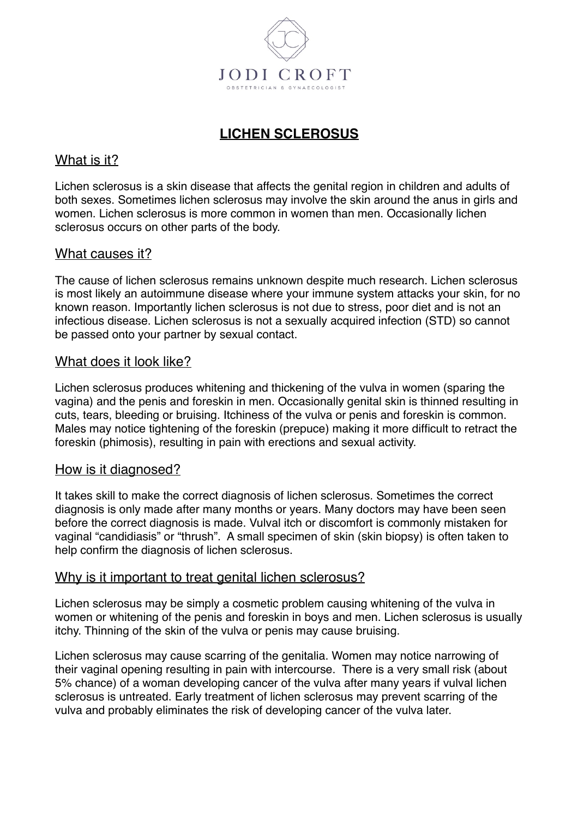

# **LICHEN SCLEROSUS**

## What is it?

Lichen sclerosus is a skin disease that affects the genital region in children and adults of both sexes. Sometimes lichen sclerosus may involve the skin around the anus in girls and women. Lichen sclerosus is more common in women than men. Occasionally lichen sclerosus occurs on other parts of the body.

## What causes it?

The cause of lichen sclerosus remains unknown despite much research. Lichen sclerosus is most likely an autoimmune disease where your immune system attacks your skin, for no known reason. Importantly lichen sclerosus is not due to stress, poor diet and is not an infectious disease. Lichen sclerosus is not a sexually acquired infection (STD) so cannot be passed onto your partner by sexual contact.

## What does it look like?

Lichen sclerosus produces whitening and thickening of the vulva in women (sparing the vagina) and the penis and foreskin in men. Occasionally genital skin is thinned resulting in cuts, tears, bleeding or bruising. Itchiness of the vulva or penis and foreskin is common. Males may notice tightening of the foreskin (prepuce) making it more difficult to retract the foreskin (phimosis), resulting in pain with erections and sexual activity.

#### How is it diagnosed?

It takes skill to make the correct diagnosis of lichen sclerosus. Sometimes the correct diagnosis is only made after many months or years. Many doctors may have been seen before the correct diagnosis is made. Vulval itch or discomfort is commonly mistaken for vaginal "candidiasis" or "thrush". A small specimen of skin (skin biopsy) is often taken to help confirm the diagnosis of lichen sclerosus.

#### Why is it important to treat genital lichen sclerosus?

Lichen sclerosus may be simply a cosmetic problem causing whitening of the vulva in women or whitening of the penis and foreskin in boys and men. Lichen sclerosus is usually itchy. Thinning of the skin of the vulva or penis may cause bruising.

Lichen sclerosus may cause scarring of the genitalia. Women may notice narrowing of their vaginal opening resulting in pain with intercourse. There is a very small risk (about 5% chance) of a woman developing cancer of the vulva after many years if vulval lichen sclerosus is untreated. Early treatment of lichen sclerosus may prevent scarring of the vulva and probably eliminates the risk of developing cancer of the vulva later.